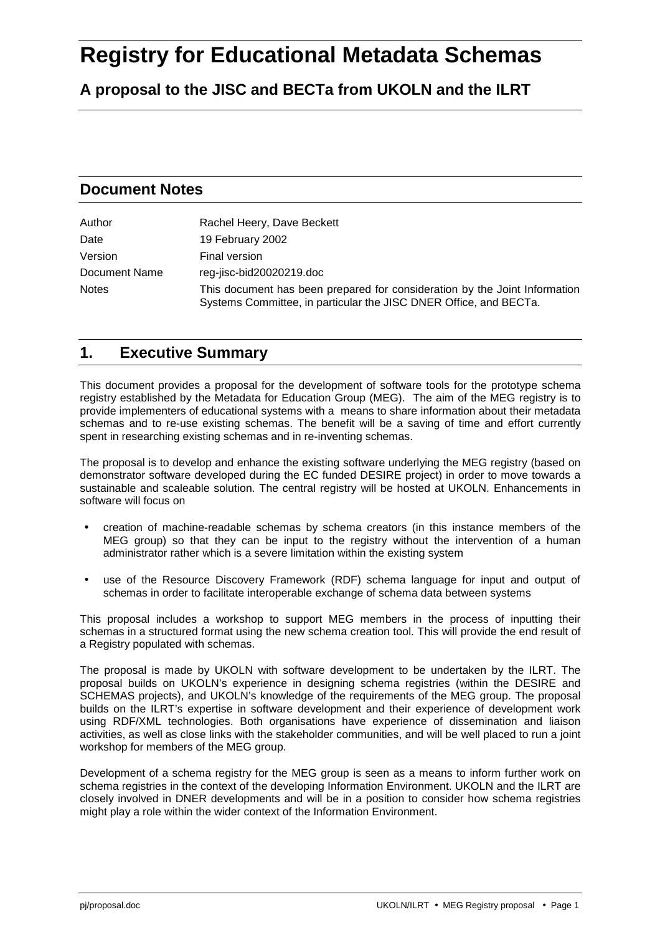# **Registry for Educational Metadata Schemas**

**A proposal to the JISC and BECTa from UKOLN and the ILRT**

## **Document Notes**

| Author        | Rachel Heery, Dave Beckett                                                                                                                      |
|---------------|-------------------------------------------------------------------------------------------------------------------------------------------------|
| Date          | 19 February 2002                                                                                                                                |
| Version       | Final version                                                                                                                                   |
| Document Name | reg-jisc-bid20020219.doc                                                                                                                        |
| <b>Notes</b>  | This document has been prepared for consideration by the Joint Information<br>Systems Committee, in particular the JISC DNER Office, and BECTa. |

## **1. Executive Summary**

This document provides a proposal for the development of software tools for the prototype schema registry established by the Metadata for Education Group (MEG). The aim of the MEG registry is to provide implementers of educational systems with a means to share information about their metadata schemas and to re-use existing schemas. The benefit will be a saving of time and effort currently spent in researching existing schemas and in re-inventing schemas.

The proposal is to develop and enhance the existing software underlying the MEG registry (based on demonstrator software developed during the EC funded DESIRE project) in order to move towards a sustainable and scaleable solution. The central registry will be hosted at UKOLN. Enhancements in software will focus on

- creation of machine-readable schemas by schema creators (in this instance members of the MEG group) so that they can be input to the registry without the intervention of a human administrator rather which is a severe limitation within the existing system
- use of the Resource Discovery Framework (RDF) schema language for input and output of schemas in order to facilitate interoperable exchange of schema data between systems

This proposal includes a workshop to support MEG members in the process of inputting their schemas in a structured format using the new schema creation tool. This will provide the end result of a Registry populated with schemas.

The proposal is made by UKOLN with software development to be undertaken by the ILRT. The proposal builds on UKOLN's experience in designing schema registries (within the DESIRE and SCHEMAS projects), and UKOLN's knowledge of the requirements of the MEG group. The proposal builds on the ILRT's expertise in software development and their experience of development work using RDF/XML technologies. Both organisations have experience of dissemination and liaison activities, as well as close links with the stakeholder communities, and will be well placed to run a joint workshop for members of the MEG group.

Development of a schema registry for the MEG group is seen as a means to inform further work on schema registries in the context of the developing Information Environment. UKOLN and the ILRT are closely involved in DNER developments and will be in a position to consider how schema registries might play a role within the wider context of the Information Environment.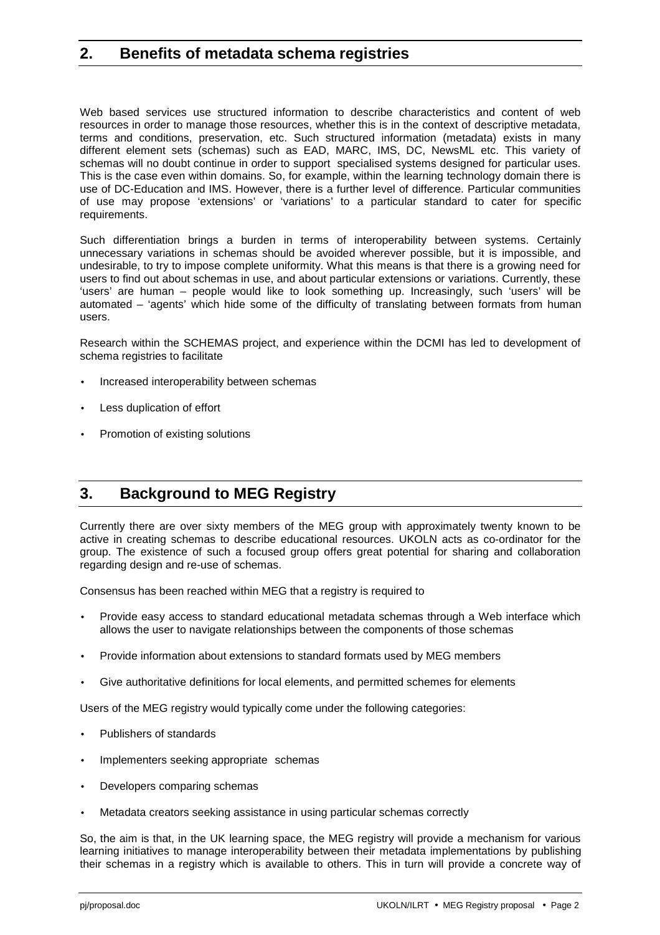## **2. Benefits of metadata schema registries**

Web based services use structured information to describe characteristics and content of web resources in order to manage those resources, whether this is in the context of descriptive metadata, terms and conditions, preservation, etc. Such structured information (metadata) exists in many different element sets (schemas) such as EAD, MARC, IMS, DC, NewsML etc. This variety of schemas will no doubt continue in order to support specialised systems designed for particular uses. This is the case even within domains. So, for example, within the learning technology domain there is use of DC-Education and IMS. However, there is a further level of difference. Particular communities of use may propose 'extensions' or 'variations' to a particular standard to cater for specific requirements.

Such differentiation brings a burden in terms of interoperability between systems. Certainly unnecessary variations in schemas should be avoided wherever possible, but it is impossible, and undesirable, to try to impose complete uniformity. What this means is that there is a growing need for users to find out about schemas in use, and about particular extensions or variations. Currently, these 'users' are human – people would like to look something up. Increasingly, such 'users' will be automated – 'agents' which hide some of the difficulty of translating between formats from human users.

Research within the SCHEMAS project, and experience within the DCMI has led to development of schema registries to facilitate

- Increased interoperability between schemas
- Less duplication of effort
- Promotion of existing solutions

# **3. Background to MEG Registry**

Currently there are over sixty members of the MEG group with approximately twenty known to be active in creating schemas to describe educational resources. UKOLN acts as co-ordinator for the group. The existence of such a focused group offers great potential for sharing and collaboration regarding design and re-use of schemas.

Consensus has been reached within MEG that a registry is required to

- Provide easy access to standard educational metadata schemas through a Web interface which allows the user to navigate relationships between the components of those schemas
- Provide information about extensions to standard formats used by MEG members
- Give authoritative definitions for local elements, and permitted schemes for elements

Users of the MEG registry would typically come under the following categories:

- Publishers of standards
- Implementers seeking appropriate schemas
- Developers comparing schemas
- Metadata creators seeking assistance in using particular schemas correctly

So, the aim is that, in the UK learning space, the MEG registry will provide a mechanism for various learning initiatives to manage interoperability between their metadata implementations by publishing their schemas in a registry which is available to others. This in turn will provide a concrete way of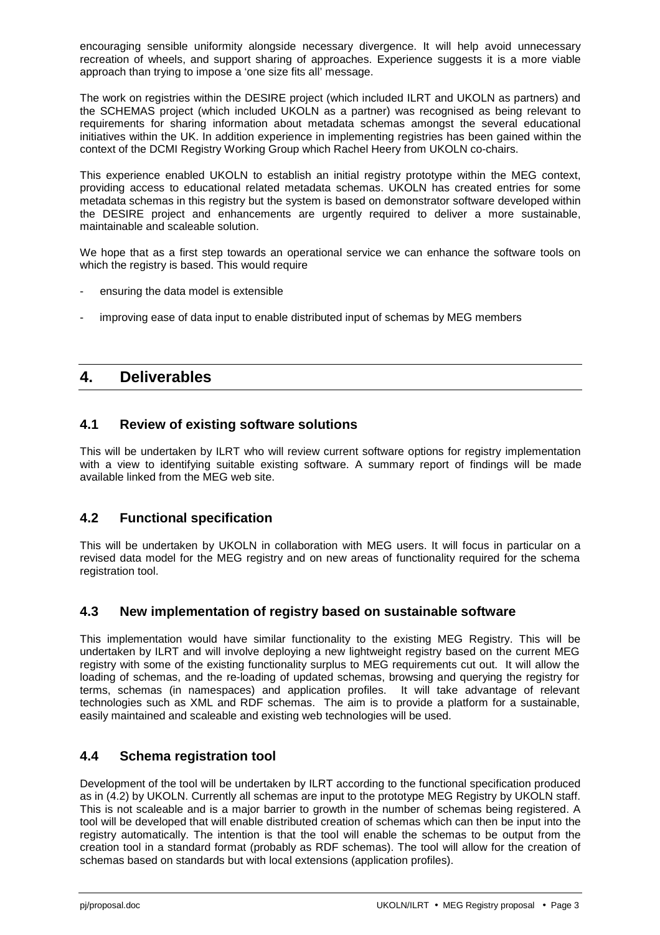encouraging sensible uniformity alongside necessary divergence. It will help avoid unnecessary recreation of wheels, and support sharing of approaches. Experience suggests it is a more viable approach than trying to impose a 'one size fits all' message.

The work on registries within the DESIRE project (which included ILRT and UKOLN as partners) and the SCHEMAS project (which included UKOLN as a partner) was recognised as being relevant to requirements for sharing information about metadata schemas amongst the several educational initiatives within the UK. In addition experience in implementing registries has been gained within the context of the DCMI Registry Working Group which Rachel Heery from UKOLN co-chairs.

This experience enabled UKOLN to establish an initial registry prototype within the MEG context, providing access to educational related metadata schemas. UKOLN has created entries for some metadata schemas in this registry but the system is based on demonstrator software developed within the DESIRE project and enhancements are urgently required to deliver a more sustainable, maintainable and scaleable solution.

We hope that as a first step towards an operational service we can enhance the software tools on which the registry is based. This would require

- ensuring the data model is extensible
- improving ease of data input to enable distributed input of schemas by MEG members

## **4. Deliverables**

#### **4.1 Review of existing software solutions**

This will be undertaken by ILRT who will review current software options for registry implementation with a view to identifying suitable existing software. A summary report of findings will be made available linked from the MEG web site.

#### **4.2 Functional specification**

This will be undertaken by UKOLN in collaboration with MEG users. It will focus in particular on a revised data model for the MEG registry and on new areas of functionality required for the schema registration tool.

#### **4.3 New implementation of registry based on sustainable software**

This implementation would have similar functionality to the existing MEG Registry. This will be undertaken by ILRT and will involve deploying a new lightweight registry based on the current MEG registry with some of the existing functionality surplus to MEG requirements cut out. It will allow the loading of schemas, and the re-loading of updated schemas, browsing and querying the registry for terms, schemas (in namespaces) and application profiles. It will take advantage of relevant technologies such as XML and RDF schemas. The aim is to provide a platform for a sustainable, easily maintained and scaleable and existing web technologies will be used.

#### **4.4 Schema registration tool**

Development of the tool will be undertaken by ILRT according to the functional specification produced as in (4.2) by UKOLN. Currently all schemas are input to the prototype MEG Registry by UKOLN staff. This is not scaleable and is a major barrier to growth in the number of schemas being registered. A tool will be developed that will enable distributed creation of schemas which can then be input into the registry automatically. The intention is that the tool will enable the schemas to be output from the creation tool in a standard format (probably as RDF schemas). The tool will allow for the creation of schemas based on standards but with local extensions (application profiles).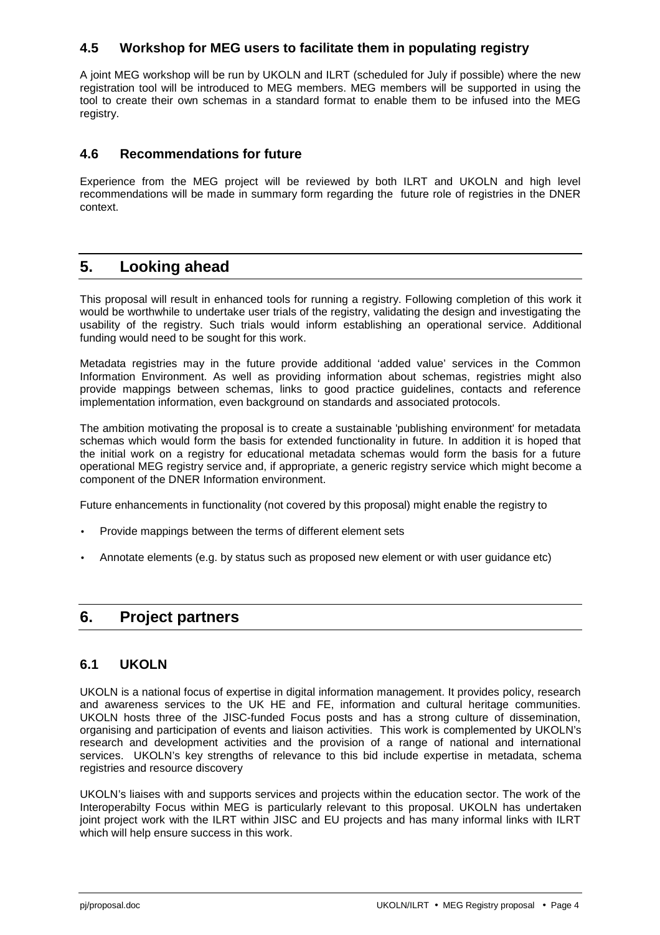#### **4.5 Workshop for MEG users to facilitate them in populating registry**

A joint MEG workshop will be run by UKOLN and ILRT (scheduled for July if possible) where the new registration tool will be introduced to MEG members. MEG members will be supported in using the tool to create their own schemas in a standard format to enable them to be infused into the MEG registry.

#### **4.6 Recommendations for future**

Experience from the MEG project will be reviewed by both ILRT and UKOLN and high level recommendations will be made in summary form regarding the future role of registries in the DNER context.

## **5. Looking ahead**

This proposal will result in enhanced tools for running a registry. Following completion of this work it would be worthwhile to undertake user trials of the registry, validating the design and investigating the usability of the registry. Such trials would inform establishing an operational service. Additional funding would need to be sought for this work.

Metadata registries may in the future provide additional 'added value' services in the Common Information Environment. As well as providing information about schemas, registries might also provide mappings between schemas, links to good practice guidelines, contacts and reference implementation information, even background on standards and associated protocols.

The ambition motivating the proposal is to create a sustainable 'publishing environment' for metadata schemas which would form the basis for extended functionality in future. In addition it is hoped that the initial work on a registry for educational metadata schemas would form the basis for a future operational MEG registry service and, if appropriate, a generic registry service which might become a component of the DNER Information environment.

Future enhancements in functionality (not covered by this proposal) might enable the registry to

- Provide mappings between the terms of different element sets
- Annotate elements (e.g. by status such as proposed new element or with user guidance etc)

## **6. Project partners**

#### **6.1 UKOLN**

UKOLN is a national focus of expertise in digital information management. It provides policy, research and awareness services to the UK HE and FE, information and cultural heritage communities. UKOLN hosts three of the JISC-funded Focus posts and has a strong culture of dissemination, organising and participation of events and liaison activities. This work is complemented by UKOLN's research and development activities and the provision of a range of national and international services. UKOLN's key strengths of relevance to this bid include expertise in metadata, schema registries and resource discovery

UKOLN's liaises with and supports services and projects within the education sector. The work of the Interoperabilty Focus within MEG is particularly relevant to this proposal. UKOLN has undertaken joint project work with the ILRT within JISC and EU projects and has many informal links with ILRT which will help ensure success in this work.